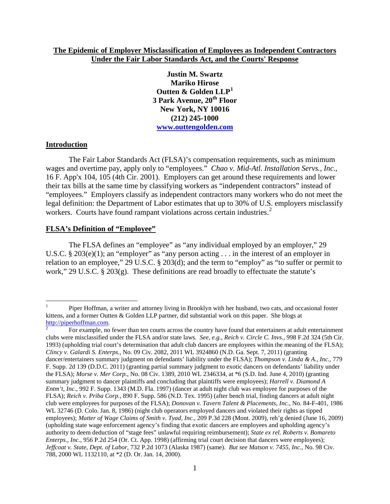### **The Epidemic of Employer Misclassification of Employees as Independent Contractors Under the Fair Labor Standards Act, and the Courts' Response**

**Justin M. Swartz Mariko Hirose Outten & Golden LLP[1](#page-0-0) 3 Park Avenue, 20th Floor New York, NY 10016 (212) 245-1000 [www.outtengolden.com](http://www.outtengolden.com/)**

#### **Introduction**

The Fair Labor Standards Act (FLSA)'s compensation requirements, such as minimum wages and overtime pay, apply only to "employees." *Chao v. Mid-Atl. Installation Servs., Inc.,* 16 F. App'x 104, 105 (4th Cir. 2001). Employers can get around these requirements and lower their tax bills at the same time by classifying workers as "independent contractors" instead of "employees." Employers classify as independent contractors many workers who do not meet the legal definition: the Department of Labor estimates that up to 30% of U.S. employers misclassify workers. Courts have found rampant violations across certain industries.<sup>[2](#page-0-1)</sup>

### **FLSA's Definition of "Employee"**

The FLSA defines an "employee" as "any individual employed by an employer," 29 U.S.C. § 203(e)(1); an "employer" as "any person acting . . . in the interest of an employer in relation to an employee," 29 U.S.C. § 203(d); and the term to "employ" as "to suffer or permit to work," 29 U.S.C. § 203(g). These definitions are read broadly to effectuate the statute's

<span id="page-0-0"></span> <sup>1</sup> Piper Hoffman, a writer and attorney living in Brooklyn with her husband, two cats, and occasional foster kittens, and a former Outten & Golden LLP partner, did substantial work on this paper. She blogs at http://piperhoffman.com.

<span id="page-0-1"></span>For example, no fewer than ten courts across the country have found that entertainers at adult entertainment clubs were misclassified under the FLSA and/or state laws*. See, e.g.*, *Reich v. Circle C. Invs.*, 998 F.2d 324 (5th Cir. 1993) (upholding trial court's determination that adult club dancers are employees within the meaning of the FLSA); *Clincy v. Galardi S. Enterps.*, No. 09 Civ. 2082, 2011 WL 3924860 (N.D. Ga. Sept. 7, 2011) (granting dancer/entertainers summary judgment on defendants' liability under the FLSA); *Thompson v. Linda & A., Inc.*, 779 F. Supp. 2d 139 (D.D.C. 2011) (granting partial summary judgment to exotic dancers on defendants' liability under the FLSA); *Morse v. Mer Corp.*, No. 08 Civ. 1389, 2010 WL 2346334, at \*6 (S.D. Ind. June 4, 2010) (granting summary judgment to dancer plaintiffs and concluding that plaintiffs were employees); *Harrell v. Diamond A Entm't, Inc.*, 992 F. Supp. 1343 (M.D. Fla. 1997) (dancer at adult night club was employee for purposes of the FLSA); *Reich v. Priba Corp.*, 890 F. Supp. 586 (N.D. Tex. 1995) (after bench trial, finding dancers at adult night club were employees for purposes of the FLSA); *Donovan v. Tavern Talent & Placements, Inc.*, No. 84-F-401, 1986 WL 32746 (D. Colo. Jan. 8, 1986) (night club operators employed dancers and violated their rights as tipped employees); *Matter of Wage Claims of Smith v. Tyad, Inc.*, 209 P.3d 228 (Mont. 2009), reh'g denied (June 16, 2009) (upholding state wage enforcement agency's finding that exotic dancers are employees and upholding agency's authority to deem deduction of "stage fees" unlawful requiring reimbursement); *State ex rel. Roberts v. Bomareto Enterps., Inc.*, 956 P.2d 254 (Or. Ct. App. 1998) (affirming trial court decision that dancers were employees); *Jeffcoat v. State, Dept. of Labor*, 732 P.2d 1073 (Alaska 1987) (same). *But see Matson v. 7455, Inc.*, No. 98 Civ. 788, 2000 WL 1132110, at \*2 (D. Or. Jan. 14, 2000).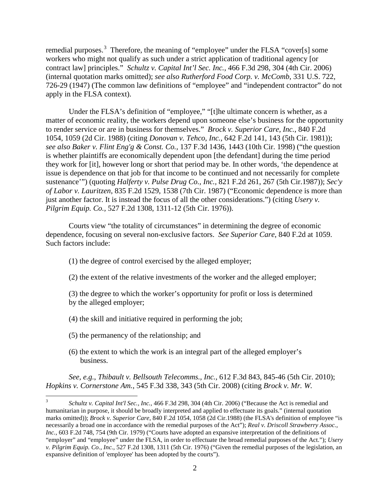remedial purposes.<sup>[3](#page-1-0)</sup> Therefore, the meaning of "employee" under the FLSA "cover[s] some workers who might not qualify as such under a strict application of traditional agency [or contract law] principles." *Schultz v. Capital Int'l Sec. Inc.,* 466 F.3d 298, 304 (4th Cir. 2006) (internal quotation marks omitted); *see also Rutherford Food Corp. v. McComb*, 331 U.S. 722, 726-29 (1947) (The common law definitions of "employee" and "independent contractor" do not apply in the FLSA context).

Under the FLSA's definition of "employee," "[t]he ultimate concern is whether, as a matter of economic reality, the workers depend upon someone else's business for the opportunity to render service or are in business for themselves." *Brock v. Superior Care, Inc.*, 840 F.2d 1054, 1059 (2d Cir. 1988) (citing *Donovan v. Tehco, Inc.,* 642 F.2d 141, 143 (5th Cir. 1981)); *see also Baker v. Flint Eng'g & Const. Co.,* 137 F.3d 1436, 1443 (10th Cir. 1998) ("the question is whether plaintiffs are economically dependent upon [the defendant] during the time period they work for [it], however long or short that period may be. In other words, 'the dependence at issue is dependence on that job for that income to be continued and not necessarily for complete sustenance'") (quoting *Halferty v. Pulse Drug Co., Inc.,* 821 F.2d 261, 267 (5th Cir.1987)); *Sec'y of Labor v. Lauritzen*, 835 F.2d 1529, 1538 (7th Cir. 1987) ("Economic dependence is more than just another factor. It is instead the focus of all the other considerations.") (citing *Usery v. Pilgrim Equip. Co.,* 527 F.2d 1308, 1311-12 (5th Cir. 1976)).

Courts view "the totality of circumstances" in determining the degree of economic dependence, focusing on several non-exclusive factors. *See Superior Care*, 840 F.2d at 1059. Such factors include:

- (1) the degree of control exercised by the alleged employer;
- (2) the extent of the relative investments of the worker and the alleged employer;
- (3) the degree to which the worker's opportunity for profit or loss is determined by the alleged employer;
- (4) the skill and initiative required in performing the job;
- (5) the permanency of the relationship; and
- (6) the extent to which the work is an integral part of the alleged employer's business.

*See, e.g.*, *Thibault v. Bellsouth Telecomms., Inc.,* 612 F.3d 843, 845-46 (5th Cir. 2010); *Hopkins v. Cornerstone Am.*, 545 F.3d 338, 343 (5th Cir. 2008) (citing *Brock v. Mr. W.* 

<span id="page-1-0"></span> <sup>3</sup> *Schultz v. Capital Int'l Sec., Inc.,* 466 F.3d 298, 304 (4th Cir. 2006) ("Because the Act is remedial and humanitarian in purpose, it should be broadly interpreted and applied to effectuate its goals." (internal quotation marks omitted)); *Brock v. Superior Care*, 840 F.2d 1054, 1058 (2d Cir.1988) (the FLSA's definition of employee "is necessarily a broad one in accordance with the remedial purposes of the Act"); *Real v. Driscoll Strawberry Assoc., Inc.*, 603 F.2d 748, 754 (9th Cir. 1979) ("Courts have adopted an expansive interpretation of the definitions of "employer" and "employee" under the FLSA, in order to effectuate the broad remedial purposes of the Act."); *Usery v. Pilgrim Equip. Co., Inc.*, 527 F.2d 1308, 1311 (5th Cir. 1976) ("Given the remedial purposes of the legislation, an expansive definition of 'employee' has been adopted by the courts").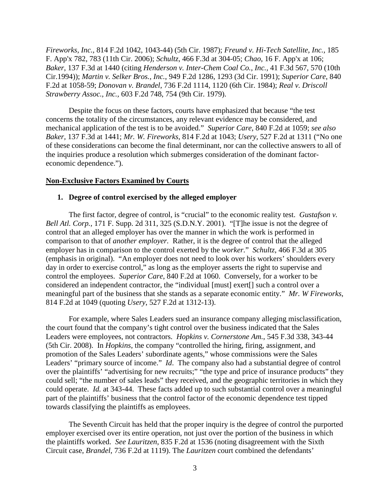*Fireworks, Inc.,* 814 F.2d 1042, 1043-44) (5th Cir. 1987); *Freund v. Hi-Tech Satellite, Inc.,* 185 F. App'x 782, 783 (11th Cir. 2006); *Schultz*, 466 F.3d at 304-05; *Chao*, 16 F. App'x at 106; *Baker*, 137 F.3d at 1440 (citing *Henderson v. Inter-Chem Coal Co., Inc.,* 41 F.3d 567, 570 (10th Cir.1994)); *Martin v. Selker Bros., Inc.*, 949 F.2d 1286, 1293 (3d Cir. 1991); *Superior Care*, 840 F.2d at 1058-59; *Donovan v. Brandel*, 736 F.2d 1114, 1120 (6th Cir. 1984); *Real v. Driscoll Strawberry Assoc., Inc.,* 603 F.2d 748, 754 (9th Cir. 1979).

Despite the focus on these factors, courts have emphasized that because "the test concerns the totality of the circumstances, any relevant evidence may be considered, and mechanical application of the test is to be avoided." *Superior Care*, 840 F.2d at 1059; *see also Baker,* 137 F.3d at 1441; *Mr. W. Fireworks,* 814 F.2d at 1043; *Usery,* 527 F.2d at 1311 ("No one of these considerations can become the final determinant, nor can the collective answers to all of the inquiries produce a resolution which submerges consideration of the dominant factoreconomic dependence.").

#### **Non-Exclusive Factors Examined by Courts**

### **1. Degree of control exercised by the alleged employer**

The first factor, degree of control, is "crucial" to the economic reality test. *Gustafson v. Bell Atl. Corp.,* 171 F. Supp. 2d 311, 325 (S.D.N.Y. 2001). "[T]he issue is not the degree of control that an alleged employer has over the manner in which the work is performed in comparison to that of *another employer.* Rather, it is the degree of control that the alleged employer has in comparison to the control exerted by the *worker.*" *Schultz*, 466 F.3d at 305 (emphasis in original). "An employer does not need to look over his workers' shoulders every day in order to exercise control," as long as the employer asserts the right to supervise and control the employees. *Superior Care*, 840 F.2d at 1060. Conversely, for a worker to be considered an independent contractor, the "individual [must] exert[] such a control over a meaningful part of the business that she stands as a separate economic entity." *Mr. W Fireworks*, 814 F.2d at 1049 (quoting *Usery*, 527 F.2d at 1312-13).

For example, where Sales Leaders sued an insurance company alleging misclassification, the court found that the company's tight control over the business indicated that the Sales Leaders were employees, not contractors. *Hopkins v. Cornerstone Am.*, 545 F.3d 338, 343-44 (5th Cir. 2008). In *Hopkins*, the company "controlled the hiring, firing, assignment, and promotion of the Sales Leaders' subordinate agents," whose commissions were the Sales Leaders' "primary source of income." *Id*. The company also had a substantial degree of control over the plaintiffs' "advertising for new recruits;" "the type and price of insurance products" they could sell; "the number of sales leads" they received, and the geographic territories in which they could operate. *Id.* at 343-44. These facts added up to such substantial control over a meaningful part of the plaintiffs' business that the control factor of the economic dependence test tipped towards classifying the plaintiffs as employees.

The Seventh Circuit has held that the proper inquiry is the degree of control the purported employer exercised over its entire operation, not just over the portion of the business in which the plaintiffs worked. *See Lauritzen*, 835 F.2d at 1536 (noting disagreement with the Sixth Circuit case, *Brandel*, 736 F.2d at 1119). The *Lauritzen* court combined the defendants'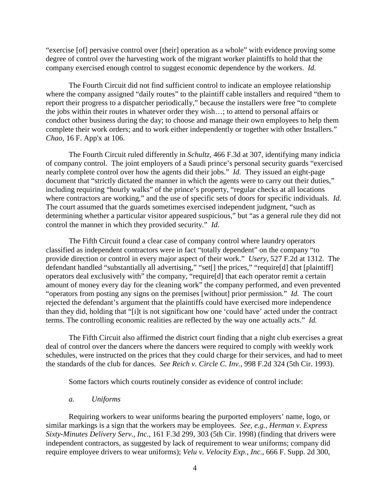"exercise [of] pervasive control over [their] operation as a whole" with evidence proving some degree of control over the harvesting work of the migrant worker plaintiffs to hold that the company exercised enough control to suggest economic dependence by the workers. *Id.*

The Fourth Circuit did not find sufficient control to indicate an employee relationship where the company assigned "daily routes" to the plaintiff cable installers and required "them to report their progress to a dispatcher periodically," because the installers were free "to complete the jobs within their routes in whatever order they wish…; to attend to personal affairs or conduct other business during the day; to choose and manage their own employees to help them complete their work orders; and to work either independently or together with other Installers." *Chao,* 16 F. App'x at 106.

The Fourth Circuit ruled differently in *Schultz*, 466 F.3d at 307, identifying many indicia of company control. The joint employers of a Saudi prince's personal security guards "exercised nearly complete control over how the agents did their jobs." *Id.* They issued an eight-page document that "strictly dictated the manner in which the agents were to carry out their duties," including requiring "hourly walks" of the prince's property, "regular checks at all locations where contractors are working," and the use of specific sets of doors for specific individuals. *Id.* The court assumed that the guards sometimes exercised independent judgment, "such as determining whether a particular visitor appeared suspicious," but "as a general rule they did not control the manner in which they provided security." *Id.*

The Fifth Circuit found a clear case of company control where laundry operators classified as independent contractors were in fact "totally dependent" on the company "to provide direction or control in every major aspect of their work." *Usery*, 527 F.2d at 1312. The defendant handled "substantially all advertising," "set[] the prices," "require[d] that [plaintiff] operators deal exclusively with" the company, "require[d] that each operator remit a certain amount of money every day for the cleaning work" the company performed, and even prevented "operators from posting any signs on the premises [without] prior permission." *Id.* The court rejected the defendant's argument that the plaintiffs could have exercised more independence than they did, holding that "[i]t is not significant how one 'could have' acted under the contract terms. The controlling economic realities are reflected by the way one actually acts." *Id.*

The Fifth Circuit also affirmed the district court finding that a night club exercises a great deal of control over the dancers where the dancers were required to comply with weekly work schedules, were instructed on the prices that they could charge for their services, and had to meet the standards of the club for dances. *See Reich v. Circle C. Inv.*, 998 F.2d 324 (5th Cir. 1993).

Some factors which courts routinely consider as evidence of control include:

### *a. Uniforms*

Requiring workers to wear uniforms bearing the purported employers' name, logo, or similar markings is a sign that the workers may be employees. *See, e.g., Herman v. Express Sixty-Minutes Delivery Serv., Inc.,* 161 F.3d 299, 303 (5th Cir. 1998) (finding that drivers were independent contractors, as suggested by lack of requirement to wear uniforms; company did require employee drivers to wear uniforms); *Velu v. Velocity Exp., Inc.*, 666 F. Supp. 2d 300,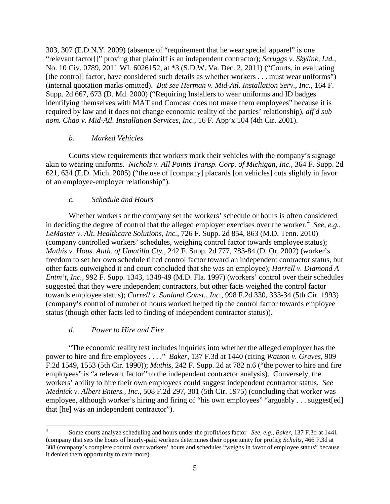303, 307 (E.D.N.Y. 2009) (absence of "requirement that he wear special apparel" is one "relevant factor[]" proving that plaintiff is an independent contractor); *Scruggs v. Skylink, Ltd.,* No. 10 Civ. 0789, 2011 WL 6026152, at \*3 (S.D.W. Va. Dec. 2, 2011) ("Courts, in evaluating [the control] factor, have considered such details as whether workers . . . must wear uniforms") (internal quotation marks omitted). *But see Herman v. Mid-Atl. Installation Serv., Inc.*, 164 F. Supp. 2d 667, 673 (D. Md. 2000) ("Requiring Installers to wear uniforms and ID badges identifying themselves with MAT and Comcast does not make them employees" because it is required by law and it does not change economic reality of the parties' relationship), *aff'd sub nom. Chao v. Mid-Atl. Installation Services, Inc.*, 16 F. App'x 104 (4th Cir. 2001).

## *b. Marked Vehicles*

Courts view requirements that workers mark their vehicles with the company's signage akin to wearing uniforms. *Nichols v. All Points Transp. Corp. of Michigan, Inc.,* 364 F. Supp. 2d 621, 634 (E.D. Mich. 2005) ("the use of [company] placards [on vehicles] cuts slightly in favor of an employee-employer relationship").

## *c. Schedule and Hours*

Whether workers or the company set the workers' schedule or hours is often considered in deciding the degree of control that the alleged employer exercises over the worker. [4](#page-4-0) *See, e.g., LeMaster v. Alt. Healthcare Solutions, Inc.,* 726 F. Supp. 2d 854, 863 (M.D. Tenn. 2010) (company controlled workers' schedules, weighing control factor towards employee status); *Mathis v. Hous. Auth. of Umatilla Cty.*, 242 F. Supp. 2d 777, 783-84 (D. Or. 2002) (worker's freedom to set her own schedule tilted control factor toward an independent contractor status, but other facts outweighed it and court concluded that she was an employee); *Harrell v. Diamond A Entm't, Inc.*, 992 F. Supp. 1343, 1348-49 (M.D. Fla. 1997) (workers' control over their schedules suggested that they were independent contractors, but other facts weighed the control factor towards employee status); *Carrell v. Sunland Const., Inc.*, 998 F.2d 330, 333-34 (5th Cir. 1993) (company's control of number of hours worked helped tip the control factor towards employee status (though other facts led to finding of independent contractor status)).

# *d. Power to Hire and Fire*

"The economic reality test includes inquiries into whether the alleged employer has the power to hire and fire employees . . . ." *Baker*, 137 F.3d at 1440 (citing *Watson v. Graves,* 909 F.2d 1549, 1553 (5th Cir. 1990)); *Mathis*, 242 F. Supp. 2d at 782 n.6 ("the power to hire and fire employees" is "a relevant factor" to the independent contractor analysis). Conversely, the workers' ability to hire their own employees could suggest independent contractor status. *See Mednick v. Albert Enters., Inc.*, 508 F.2d 297, 301 (5th Cir. 1975) (concluding that worker was employee, although worker's hiring and firing of "his own employees" "arguably . . . suggest[ed] that [he] was an independent contractor").

<span id="page-4-0"></span> <sup>4</sup> Some courts analyze scheduling and hours under the profit/loss factor *See, e.g.*, *Baker*, 137 F.3d at <sup>1441</sup> (company that sets the hours of hourly-paid workers determines their opportunity for profit); *Schultz*, 466 F.3d at 308 (company's complete control over workers' hours and schedules "weighs in favor of employee status" because it denied them opportunity to earn more).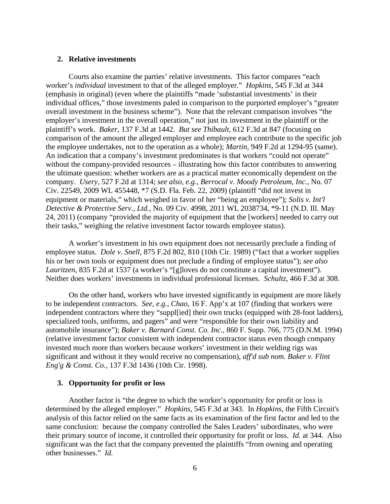### **2. Relative investments**

Courts also examine the parties' relative investments. This factor compares "each worker's *individual* investment to that of the alleged employer." *Hopkins*, 545 F.3d at 344 (emphasis in original) (even where the plaintiffs "made 'substantial investments' in their individual offices," those investments paled in comparison to the purported employer's "greater overall investment in the business scheme"). Note that the relevant comparison involves "the employer's investment in the overall operation," not just its investment in the plaintiff or the plaintiff's work. *Baker*, 137 F.3d at 1442. *But see Thibault*, 612 F.3d at 847 (focusing on comparison of the amount the alleged employer and employee each contribute to the specific job the employee undertakes, not to the operation as a whole); *Martin*, 949 F.2d at 1294-95 (same). An indication that a company's investment predominates is that workers "could not operate" without the company-provided resources – illustrating how this factor contributes to answering the ultimate question: whether workers are as a practical matter economically dependent on the company. *Usery*, 527 F.2d at 1314; *see also, e.g., Berrocal v. Moody Petroleum, Inc.*, No. 07 Civ. 22549, 2009 WL 455448, \*7 (S.D. Fla. Feb. 22, 2009) (plaintiff "did not invest in equipment or materials," which weighed in favor of her "being an employee"); *Solis v. Int'l Detective & Protective Serv., Ltd.,* No. 09 Civ. 4998, 2011 WL 2038734, \*9-11 (N.D. Ill. May 24, 2011) (company "provided the majority of equipment that the [workers] needed to carry out their tasks," weighing the relative investment factor towards employee status).

A worker's investment in his own equipment does not necessarily preclude a finding of employee status. *Dole v. Snell,* 875 F.2d 802, 810 (10th Cir. 1989) ("fact that a worker supplies his or her own tools or equipment does not preclude a finding of employee status"); *see also Lauritzen*, 835 F.2d at 1537 (a worker's "[g]loves do not constitute a capital investment"). Neither does workers' investments in individual professional licenses. *Schultz*, 466 F.3d at 308.

On the other hand, workers who have invested significantly in equipment are more likely to be independent contractors. *See, e.g.*, *Chao*, 16 F. App'x at 107 (finding that workers were independent contractors where they "suppl[ied] their own trucks (equipped with 28-foot ladders), specialized tools, uniforms, and pagers" and were "responsible for their own liability and automobile insurance"); *Baker v. Barnard Const. Co. Inc.,* 860 F. Supp. 766, 775 (D.N.M. 1994) (relative investment factor consistent with independent contractor status even though company invested much more than workers because workers' investment in their welding rigs was significant and without it they would receive no compensation), *aff'd sub nom. Baker v. Flint Eng'g & Const. Co.,* 137 F.3d 1436 (10th Cir. 1998).

#### **3. Opportunity for profit or loss**

Another factor is "the degree to which the worker's opportunity for profit or loss is determined by the alleged employer." *Hopkins*, 545 F.3d at 343. In *Hopkins*, the Fifth Circuit's analysis of this factor relied on the same facts as its examination of the first factor and led to the same conclusion: because the company controlled the Sales Leaders' subordinates, who were their primary source of income, it controlled their opportunity for profit or loss. *Id.* at 344. Also significant was the fact that the company prevented the plaintiffs "from owning and operating other businesses." *Id.*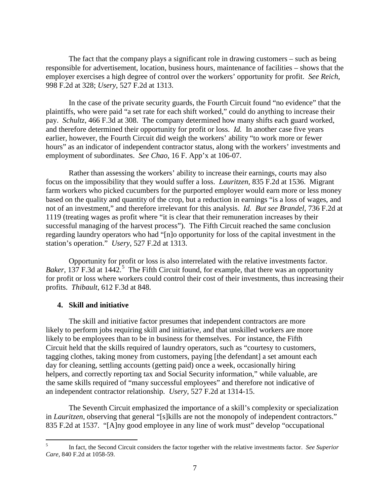The fact that the company plays a significant role in drawing customers – such as being responsible for advertisement, location, business hours, maintenance of facilities – shows that the employer exercises a high degree of control over the workers' opportunity for profit. *See Reich*, 998 F.2d at 328; *Usery*, 527 F.2d at 1313.

In the case of the private security guards, the Fourth Circuit found "no evidence" that the plaintiffs, who were paid "a set rate for each shift worked," could do anything to increase their pay. *Schultz*, 466 F.3d at 308. The company determined how many shifts each guard worked, and therefore determined their opportunity for profit or loss. *Id.* In another case five years earlier, however, the Fourth Circuit did weigh the workers' ability "to work more or fewer hours" as an indicator of independent contractor status, along with the workers' investments and employment of subordinates. *See Chao*, 16 F. App'x at 106-07.

Rather than assessing the workers' ability to increase their earnings, courts may also focus on the impossibility that they would suffer a loss. *Lauritzen*, 835 F.2d at 1536. Migrant farm workers who picked cucumbers for the purported employer would earn more or less money based on the quality and quantity of the crop, but a reduction in earnings "is a loss of wages, and not of an investment," and therefore irrelevant for this analysis. *Id. But see Brandel*, 736 F.2d at 1119 (treating wages as profit where "it is clear that their remuneration increases by their successful managing of the harvest process"). The Fifth Circuit reached the same conclusion regarding laundry operators who had "[n]o opportunity for loss of the capital investment in the station's operation." *Usery*, 527 F.2d at 1313.

Opportunity for profit or loss is also interrelated with the relative investments factor. *Baker*, 137 F.3d at 1442.<sup>[5](#page-6-0)</sup> The Fifth Circuit found, for example, that there was an opportunity for profit or loss where workers could control their cost of their investments, thus increasing their profits. *Thibault*, 612 F.3d at 848.

# **4. Skill and initiative**

The skill and initiative factor presumes that independent contractors are more likely to perform jobs requiring skill and initiative, and that unskilled workers are more likely to be employees than to be in business for themselves. For instance, the Fifth Circuit held that the skills required of laundry operators, such as "courtesy to customers, tagging clothes, taking money from customers, paying [the defendant] a set amount each day for cleaning, settling accounts (getting paid) once a week, occasionally hiring helpers, and correctly reporting tax and Social Security information," while valuable, are the same skills required of "many successful employees" and therefore not indicative of an independent contractor relationship. *Usery*, 527 F.2d at 1314-15.

The Seventh Circuit emphasized the importance of a skill's complexity or specialization in *Lauritzen*, observing that general "[s]kills are not the monopoly of independent contractors." 835 F.2d at 1537. "[A]ny good employee in any line of work must" develop "occupational

<span id="page-6-0"></span> <sup>5</sup> In fact, the Second Circuit considers the factor together with the relative investments factor. *See Superior Care*, 840 F.2d at 1058-59.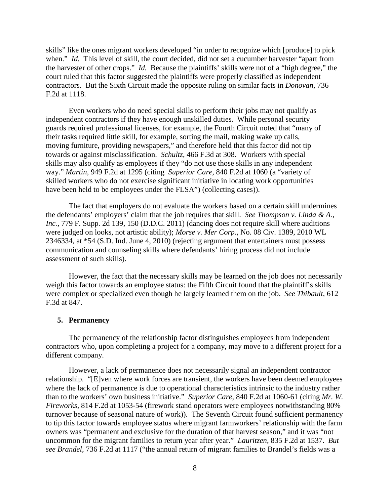skills" like the ones migrant workers developed "in order to recognize which [produce] to pick when." *Id.* This level of skill, the court decided, did not set a cucumber harvester "apart from the harvester of other crops." *Id.* Because the plaintiffs' skills were not of a "high degree," the court ruled that this factor suggested the plaintiffs were properly classified as independent contractors. But the Sixth Circuit made the opposite ruling on similar facts in *Donovan*, 736 F.2d at 1118.

Even workers who do need special skills to perform their jobs may not qualify as independent contractors if they have enough unskilled duties. While personal security guards required professional licenses, for example, the Fourth Circuit noted that "many of their tasks required little skill, for example, sorting the mail, making wake up calls, moving furniture, providing newspapers," and therefore held that this factor did not tip towards or against misclassification. *Schultz*, 466 F.3d at 308. Workers with special skills may also qualify as employees if they "do not use those skills in any independent way." *Martin*, 949 F.2d at 1295 (citing *Superior Care,* 840 F.2d at 1060 (a "variety of skilled workers who do not exercise significant initiative in locating work opportunities have been held to be employees under the FLSA") (collecting cases)).

The fact that employers do not evaluate the workers based on a certain skill undermines the defendants' employers' claim that the job requires that skill. *See Thompson v. Linda & A., Inc.*, 779 F. Supp. 2d 139, 150 (D.D.C. 2011) (dancing does not require skill where auditions were judged on looks, not artistic ability); *Morse v. Mer Corp.*, No. 08 Civ. 1389, 2010 WL 2346334, at \*54 (S.D. Ind. June 4, 2010) (rejecting argument that entertainers must possess communication and counseling skills where defendants' hiring process did not include assessment of such skills).

However, the fact that the necessary skills may be learned on the job does not necessarily weigh this factor towards an employee status: the Fifth Circuit found that the plaintiff's skills were complex or specialized even though he largely learned them on the job. *See Thibault,* 612 F.3d at 847.

### **5. Permanency**

The permanency of the relationship factor distinguishes employees from independent contractors who, upon completing a project for a company, may move to a different project for a different company.

However, a lack of permanence does not necessarily signal an independent contractor relationship. "[E]ven where work forces are transient, the workers have been deemed employees where the lack of permanence is due to operational characteristics intrinsic to the industry rather than to the workers' own business initiative." *Superior Care*, 840 F.2d at 1060-61 (citing *Mr. W. Fireworks,* 814 F.2d at 1053-54 (firework stand operators were employees notwithstanding 80% turnover because of seasonal nature of work)). The Seventh Circuit found sufficient permanency to tip this factor towards employee status where migrant farmworkers' relationship with the farm owners was "permanent and exclusive for the duration of that harvest season," and it was "not uncommon for the migrant families to return year after year." *Lauritzen*, 835 F.2d at 1537. *But see Brandel*, 736 F.2d at 1117 ("the annual return of migrant families to Brandel's fields was a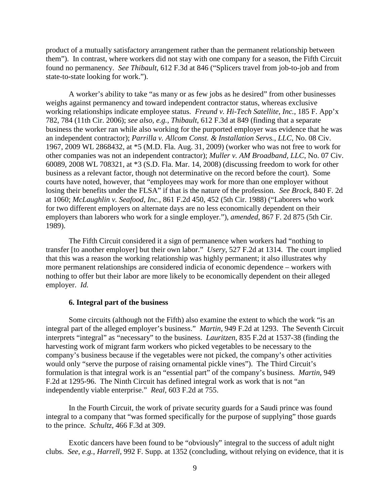product of a mutually satisfactory arrangement rather than the permanent relationship between them"). In contrast, where workers did not stay with one company for a season, the Fifth Circuit found no permanency. *See Thibault*, 612 F.3d at 846 ("Splicers travel from job-to-job and from state-to-state looking for work.").

A worker's ability to take "as many or as few jobs as he desired" from other businesses weighs against permanency and toward independent contractor status, whereas exclusive working relationships indicate employee status. *Freund v. Hi-Tech Satellite, Inc.*, 185 F. App'x 782, 784 (11th Cir. 2006); *see also, e.g.*, *Thibault*, 612 F.3d at 849 (finding that a separate business the worker ran while also working for the purported employer was evidence that he was an independent contractor); *Parrilla v. Allcom Const. & Installation Servs., LLC*, No. 08 Civ. 1967, 2009 WL 2868432, at \*5 (M.D. Fla. Aug. 31, 2009) (worker who was not free to work for other companies was not an independent contractor); *Muller v. AM Broadband, LLC*, No. 07 Civ. 60089, 2008 WL 708321, at \*3 (S.D. Fla. Mar. 14, 2008) (discussing freedom to work for other business as a relevant factor, though not determinative on the record before the court). Some courts have noted, however, that "employees may work for more than one employer without losing their benefits under the FLSA" if that is the nature of the profession. *See Brock*, 840 F. 2d at 1060; *McLaughlin v. Seafood, Inc.*, 861 F.2d 450, 452 (5th Cir. 1988) ("Laborers who work for two different employers on alternate days are no less economically dependent on their employers than laborers who work for a single employer."), *amended*, 867 F. 2d 875 (5th Cir. 1989).

The Fifth Circuit considered it a sign of permanence when workers had "nothing to transfer [to another employer] but their own labor." *Usery*, 527 F.2d at 1314. The court implied that this was a reason the working relationship was highly permanent; it also illustrates why more permanent relationships are considered indicia of economic dependence – workers with nothing to offer but their labor are more likely to be economically dependent on their alleged employer. *Id.*

### **6. Integral part of the business**

Some circuits (although not the Fifth) also examine the extent to which the work "is an integral part of the alleged employer's business." *Martin*, 949 F.2d at 1293. The Seventh Circuit interprets "integral" as "necessary" to the business. *Lauritzen*, 835 F.2d at 1537-38 (finding the harvesting work of migrant farm workers who picked vegetables to be necessary to the company's business because if the vegetables were not picked, the company's other activities would only "serve the purpose of raising ornamental pickle vines"). The Third Circuit's formulation is that integral work is an "essential part" of the company's business. *Martin*, 949 F.2d at 1295-96. The Ninth Circuit has defined integral work as work that is not "an independently viable enterprise." *Real,* 603 F.2d at 755.

In the Fourth Circuit, the work of private security guards for a Saudi prince was found integral to a company that "was formed specifically for the purpose of supplying" those guards to the prince. *Schultz*, 466 F.3d at 309.

Exotic dancers have been found to be "obviously" integral to the success of adult night clubs. *See, e.g.*, *Harrell*, 992 F. Supp. at 1352 (concluding, without relying on evidence, that it is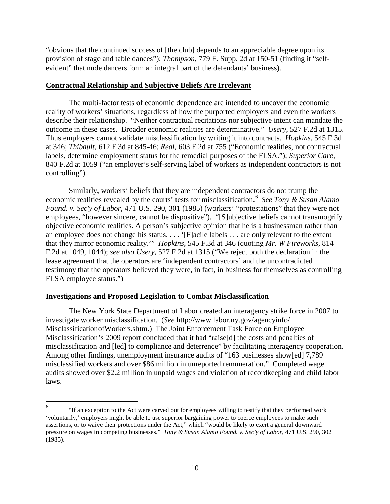"obvious that the continued success of [the club] depends to an appreciable degree upon its provision of stage and table dances"); *Thompson*, 779 F. Supp. 2d at 150-51 (finding it "selfevident" that nude dancers form an integral part of the defendants' business).

## **Contractual Relationship and Subjective Beliefs Are Irrelevant**

The multi-factor tests of economic dependence are intended to uncover the economic reality of workers' situations, regardless of how the purported employers and even the workers describe their relationship. "Neither contractual recitations nor subjective intent can mandate the outcome in these cases. Broader economic realities are determinative." *Usery*, 527 F.2d at 1315. Thus employers cannot validate misclassification by writing it into contracts. *Hopkins*, 545 F.3d at 346; *Thibault*, 612 F.3d at 845-46; *Real*, 603 F.2d at 755 ("Economic realities, not contractual labels, determine employment status for the remedial purposes of the FLSA."); *Superior Care*, 840 F.2d at 1059 ("an employer's self-serving label of workers as independent contractors is not controlling").

Similarly, workers' beliefs that they are independent contractors do not trump the economic realities revealed by the courts' tests for misclassification.[6](#page-9-0) *See Tony & Susan Alamo Found. v. Sec'y of Labor*, 471 U.S. 290, 301 (1985) (workers' "protestations" that they were not employees, "however sincere, cannot be dispositive"). "[S]ubjective beliefs cannot transmogrify objective economic realities. A person's subjective opinion that he is a businessman rather than an employee does not change his status. . . . '[F]acile labels . . . are only relevant to the extent that they mirror economic reality.'" *Hopkins*, 545 F.3d at 346 (quoting *Mr. W Fireworks,* 814 F.2d at 1049, 1044); *see also Usery*, 527 F.2d at 1315 ("We reject both the declaration in the lease agreement that the operators are 'independent contractors' and the uncontradicted testimony that the operators believed they were, in fact, in business for themselves as controlling FLSA employee status.")

# **Investigations and Proposed Legislation to Combat Misclassification**

The New York State Department of Labor created an interagency strike force in 2007 to investigate worker misclassification. (*See* http://www.labor.ny.gov/agencyinfo/ MisclassificationofWorkers.shtm.) The Joint Enforcement Task Force on Employee Misclassification's 2009 report concluded that it had "raise[d] the costs and penalties of misclassification and [led] to compliance and deterrence" by facilitating interagency cooperation. Among other findings, unemployment insurance audits of "163 businesses show[ed] 7,789 misclassified workers and over \$86 million in unreported remuneration." Completed wage audits showed over \$2.2 million in unpaid wages and violation of recordkeeping and child labor laws.

<span id="page-9-0"></span> <sup>6</sup> "If an exception to the Act were carved out for employees willing to testify that they performed work 'voluntarily,' employers might be able to use superior bargaining power to coerce employees to make such assertions, or to waive their protections under the Act," which "would be likely to exert a general downward pressure on wages in competing businesses." *Tony & Susan Alamo Found. v. Sec'y of Labor*, 471 U.S. 290, 302 (1985).